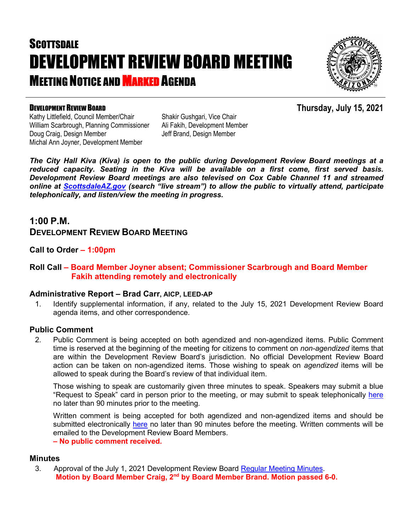# **SCOTTSDALE** DEVELOPMENT REVIEW BOARD MEETING **MEETING NOTICE AND MARKED AGENDA**



#### DEVELOPMENT REVIEW BOARD

**Thursday, July 15, 2021**

Kathy Littlefield, Council Member/Chair William Scarbrough, Planning Commissioner Doug Craig, Design Member Michal Ann Joyner, Development Member

Shakir Gushgari, Vice Chair Ali Fakih, Development Member Jeff Brand, Design Member

*The City Hall Kiva (Kiva) is open to the public during Development Review Board meetings at a reduced capacity. Seating in the Kiva will be available on a first come, first served basis. Development Review Board meetings are also televised on Cox Cable Channel 11 and streamed online at [ScottsdaleAZ.gov](http://www.scottsdaleaz.gov/) (search "live stream") to allow the public to virtually attend, participate telephonically, and listen/view the meeting in progress.*

### **1:00 P.M. DEVELOPMENT REVIEW BOARD MEETING**

**Call to Order – 1:00pm**

#### **Roll Call – Board Member Joyner absent; Commissioner Scarbrough and Board Member Fakih attending remotely and electronically**

#### **Administrative Report – Brad Carr, AICP, LEED-AP**

1. Identify supplemental information, if any, related to the July 15, 2021 Development Review Board agenda items, and other correspondence.

#### **Public Comment**

2. Public Comment is being accepted on both agendized and non-agendized items. Public Comment time is reserved at the beginning of the meeting for citizens to comment on *non-agendized* items that are within the Development Review Board's jurisdiction. No official Development Review Board action can be taken on non-agendized items. Those wishing to speak on *agendized* items will be allowed to speak during the Board's review of that individual item.

Those wishing to speak are customarily given three minutes to speak. Speakers may submit a blue "Request to Speak" card in person prior to the meeting, or may submit to speak telephonically [here](https://www.scottsdaleaz.gov/boards/development-review-board/spoken-comment) no later than 90 minutes prior to the meeting.

Written comment is being accepted for both agendized and non-agendized items and should be submitted electronically [here](https://www.scottsdaleaz.gov/boards/development-review-board/public-comment) no later than 90 minutes before the meeting. Written comments will be emailed to the Development Review Board Members.

**– No public comment received.**

#### **Minutes**

3. Approval of the July 1, 2021 Development Review Board [Regular Meeting Minutes.](https://eservices.scottsdaleaz.gov/planning/projectsummary/unrelated_documents/DRB_MEETING_MINUTES_07012021.pdf) **Motion by Board Member Craig, 2nd by Board Member Brand. Motion passed 6-0.**